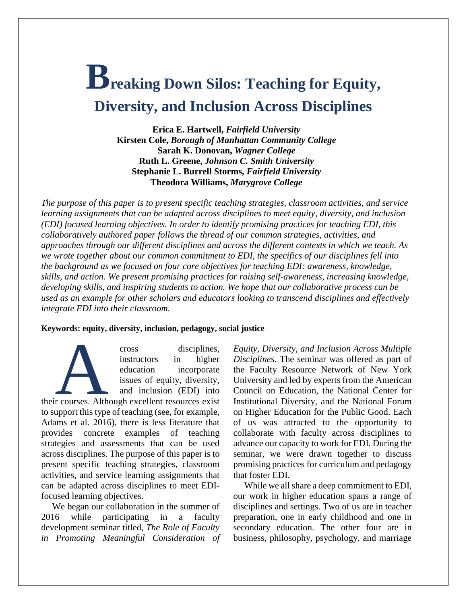# **Breaking Down Silos: Teaching for Equity, Diversity, and Inclusion Across Disciplines**

**Erica E. Hartwell,** *Fairfield University* **Kirsten Cole,** *Borough of Manhattan Community College* **Sarah K. Donovan,** *Wagner College* **Ruth L. Greene,** *Johnson C. Smith University* **Stephanie L. Burrell Storms,** *Fairfield University* **Theodora Williams,** *Marygrove College*

*The purpose of this paper is to present specific teaching strategies, classroom activities, and service learning assignments that can be adapted across disciplines to meet equity, diversity, and inclusion (EDI) focused learning objectives. In order to identify promising practices for teaching EDI, this collaboratively authored paper follows the thread of our common strategies, activities, and approaches through our different disciplines and across the different contexts in which we teach. As we wrote together about our common commitment to EDI, the specifics of our disciplines fell into the background as we focused on four core objectives for teaching EDI: awareness, knowledge, skills, and action. We present promising practices for raising self-awareness, increasing knowledge, developing skills, and inspiring students to action. We hope that our collaborative process can be used as an example for other scholars and educators looking to transcend disciplines and effectively integrate EDI into their classroom.*

### **Keywords: equity, diversity, inclusion, pedagogy, social justice**

cross disciplines, instructors in higher education incorporate issues of equity, diversity, and inclusion (EDI) into their courses. Although excellent resources exist<br>
their courses. Although excellent resources exist<br>
the summer this time of together (see for a manuple

to support this type of teaching (see, for example, Adams et al. 2016), there is less literature that provides concrete examples of teaching strategies and assessments that can be used across disciplines. The purpose of this paper is to present specific teaching strategies, classroom activities, and service learning assignments that can be adapted across disciplines to meet EDIfocused learning objectives.

We began our collaboration in the summer of 2016 while participating in a faculty development seminar titled, *The Role of Faculty in Promoting Meaningful Consideration of*  *Equity, Diversity, and Inclusion Across Multiple Disciplines.* The seminar was offered as part of the Faculty Resource Network of New York University and led by experts from the American Council on Education, the National Center for Institutional Diversity, and the National Forum on Higher Education for the Public Good. Each of us was attracted to the opportunity to collaborate with faculty across disciplines to advance our capacity to work for EDI*.* During the seminar, we were drawn together to discuss promising practices for curriculum and pedagogy that foster EDI.

While we all share a deep commitment to EDI, our work in higher education spans a range of disciplines and settings. Two of us are in teacher preparation, one in early childhood and one in secondary education. The other four are in business, philosophy, psychology, and marriage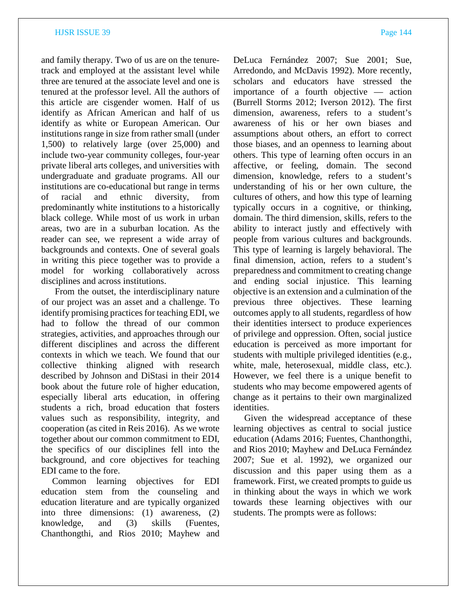and family therapy. Two of us are on the tenuretrack and employed at the assistant level while three are tenured at the associate level and one is tenured at the professor level. All the authors of this article are cisgender women. Half of us identify as African American and half of us identify as white or European American. Our institutions range in size from rather small (under 1,500) to relatively large (over 25,000) and include two-year community colleges, four-year private liberal arts colleges, and universities with undergraduate and graduate programs. All our institutions are co-educational but range in terms of racial and ethnic diversity, from predominantly white institutions to a historically black college. While most of us work in urban areas, two are in a suburban location. As the reader can see, we represent a wide array of backgrounds and contexts. One of several goals in writing this piece together was to provide a model for working collaboratively across disciplines and across institutions.

From the outset, the interdisciplinary nature of our project was an asset and a challenge. To identify promising practices for teaching EDI, we had to follow the thread of our common strategies, activities, and approaches through our different disciplines and across the different contexts in which we teach. We found that our collective thinking aligned with research described by Johnson and DiStasi in their 2014 book about the future role of higher education, especially liberal arts education, in offering students a rich, broad education that fosters values such as responsibility, integrity, and cooperation (as cited in Reis 2016). As we wrote together about our common commitment to EDI, the specifics of our disciplines fell into the background, and core objectives for teaching EDI came to the fore.

Common learning objectives for EDI education stem from the counseling and education literature and are typically organized into three dimensions: (1) awareness, (2) knowledge, and (3) skills (Fuentes, Chanthongthi, and Rios 2010; Mayhew and DeLuca Fernández 2007; Sue 2001; Sue, Arredondo, and McDavis 1992). More recently, scholars and educators have stressed the importance of a fourth objective — action (Burrell Storms 2012; Iverson 2012). The first dimension, awareness, refers to a student's awareness of his or her own biases and assumptions about others, an effort to correct those biases, and an openness to learning about others. This type of learning often occurs in an affective, or feeling, domain. The second dimension, knowledge, refers to a student's understanding of his or her own culture, the cultures of others, and how this type of learning typically occurs in a cognitive, or thinking, domain. The third dimension, skills, refers to the ability to interact justly and effectively with people from various cultures and backgrounds. This type of learning is largely behavioral. The final dimension, action, refers to a student's preparedness and commitment to creating change and ending social injustice. This learning objective is an extension and a culmination of the previous three objectives. These learning outcomes apply to all students, regardless of how their identities intersect to produce experiences of privilege and oppression. Often, social justice education is perceived as more important for students with multiple privileged identities (e.g., white, male, heterosexual, middle class, etc.). However, we feel there is a unique benefit to students who may become empowered agents of change as it pertains to their own marginalized identities.

Given the widespread acceptance of these learning objectives as central to social justice education (Adams 2016; Fuentes, Chanthongthi, and Rios 2010; Mayhew and DeLuca Fernández 2007; Sue et al. 1992), we organized our discussion and this paper using them as a framework. First, we created prompts to guide us in thinking about the ways in which we work towards these learning objectives with our students. The prompts were as follows: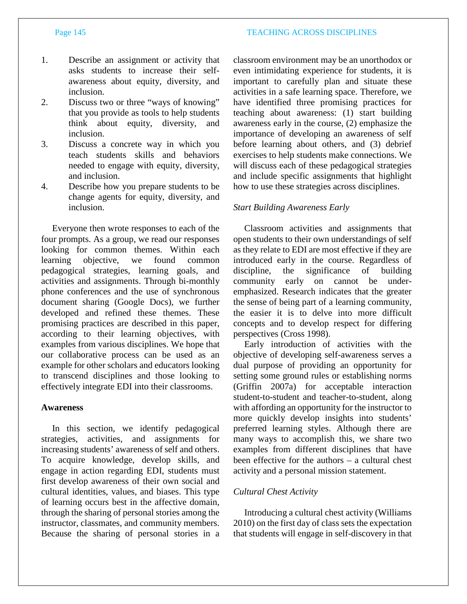### Page 145 TEACHING ACROSS DISCIPLINES

- 
- 1. Describe an assignment or activity that asks students to increase their selfawareness about equity, diversity, and inclusion.
- 2. Discuss two or three "ways of knowing" that you provide as tools to help students think about equity, diversity, and inclusion.
- 3. Discuss a concrete way in which you teach students skills and behaviors needed to engage with equity, diversity, and inclusion.
- 4. Describe how you prepare students to be change agents for equity, diversity, and inclusion.

Everyone then wrote responses to each of the four prompts. As a group, we read our responses looking for common themes. Within each learning objective, we found common pedagogical strategies, learning goals, and activities and assignments. Through bi-monthly phone conferences and the use of synchronous document sharing (Google Docs), we further developed and refined these themes. These promising practices are described in this paper, according to their learning objectives, with examples from various disciplines. We hope that our collaborative process can be used as an example for other scholars and educators looking to transcend disciplines and those looking to effectively integrate EDI into their classrooms.

# **Awareness**

In this section, we identify pedagogical strategies, activities, and assignments for increasing students' awareness of self and others. To acquire knowledge, develop skills, and engage in action regarding EDI, students must first develop awareness of their own social and cultural identities, values, and biases. This type of learning occurs best in the affective domain, through the sharing of personal stories among the instructor, classmates, and community members. Because the sharing of personal stories in a

classroom environment may be an unorthodox or even intimidating experience for students, it is important to carefully plan and situate these activities in a safe learning space. Therefore, we have identified three promising practices for teaching about awareness: (1) start building awareness early in the course, (2) emphasize the importance of developing an awareness of self before learning about others, and (3) debrief exercises to help students make connections. We will discuss each of these pedagogical strategies and include specific assignments that highlight how to use these strategies across disciplines.

### *Start Building Awareness Early*

Classroom activities and assignments that open students to their own understandings of self as they relate to EDI are most effective if they are introduced early in the course. Regardless of discipline, the significance of building community early on cannot be underemphasized. Research indicates that the greater the sense of being part of a learning community, the easier it is to delve into more difficult concepts and to develop respect for differing perspectives (Cross 1998).

Early introduction of activities with the objective of developing self-awareness serves a dual purpose of providing an opportunity for setting some ground rules or establishing norms (Griffin 2007a) for acceptable interaction student-to-student and teacher-to-student, along with affording an opportunity for the instructor to more quickly develop insights into students' preferred learning styles. Although there are many ways to accomplish this, we share two examples from different disciplines that have been effective for the authors – a cultural chest activity and a personal mission statement.

# *Cultural Chest Activity*

Introducing a cultural chest activity (Williams 2010) on the first day of class sets the expectation that students will engage in self-discovery in that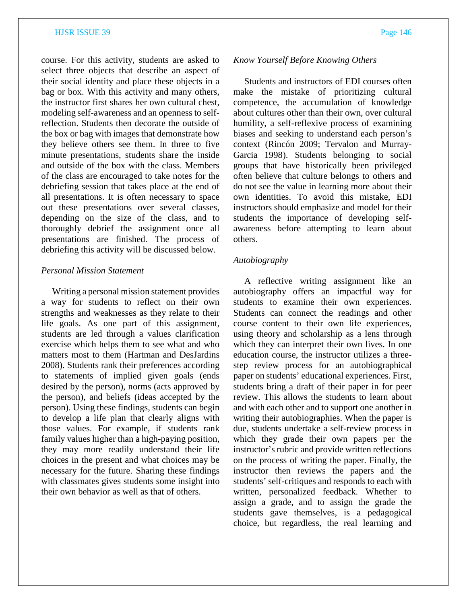course. For this activity, students are asked to select three objects that describe an aspect of their social identity and place these objects in a bag or box. With this activity and many others, the instructor first shares her own cultural chest, modeling self-awareness and an openness to selfreflection. Students then decorate the outside of the box or bag with images that demonstrate how they believe others see them. In three to five minute presentations, students share the inside and outside of the box with the class. Members of the class are encouraged to take notes for the debriefing session that takes place at the end of all presentations. It is often necessary to space out these presentations over several classes, depending on the size of the class, and to thoroughly debrief the assignment once all presentations are finished. The process of debriefing this activity will be discussed below.

### *Personal Mission Statement*

Writing a personal mission statement provides a way for students to reflect on their own strengths and weaknesses as they relate to their life goals. As one part of this assignment, students are led through a values clarification exercise which helps them to see what and who matters most to them (Hartman and DesJardins 2008). Students rank their preferences according to statements of implied given goals (ends desired by the person), norms (acts approved by the person), and beliefs (ideas accepted by the person). Using these findings, students can begin to develop a life plan that clearly aligns with those values. For example, if students rank family values higher than a high-paying position, they may more readily understand their life choices in the present and what choices may be necessary for the future. Sharing these findings with classmates gives students some insight into their own behavior as well as that of others.

### *Know Yourself Before Knowing Others*

Students and instructors of EDI courses often make the mistake of prioritizing cultural competence, the accumulation of knowledge about cultures other than their own, over cultural humility, a self-reflexive process of examining biases and seeking to understand each person's context (Rincón 2009; Tervalon and Murray-Garcia 1998). Students belonging to social groups that have historically been privileged often believe that culture belongs to others and do not see the value in learning more about their own identities. To avoid this mistake, EDI instructors should emphasize and model for their students the importance of developing selfawareness before attempting to learn about others.

# *Autobiography*

A reflective writing assignment like an autobiography offers an impactful way for students to examine their own experiences. Students can connect the readings and other course content to their own life experiences, using theory and scholarship as a lens through which they can interpret their own lives. In one education course, the instructor utilizes a threestep review process for an autobiographical paper on students' educational experiences. First, students bring a draft of their paper in for peer review. This allows the students to learn about and with each other and to support one another in writing their autobiographies. When the paper is due, students undertake a self-review process in which they grade their own papers per the instructor's rubric and provide written reflections on the process of writing the paper. Finally, the instructor then reviews the papers and the students' self-critiques and responds to each with written, personalized feedback. Whether to assign a grade, and to assign the grade the students gave themselves, is a pedagogical choice, but regardless, the real learning and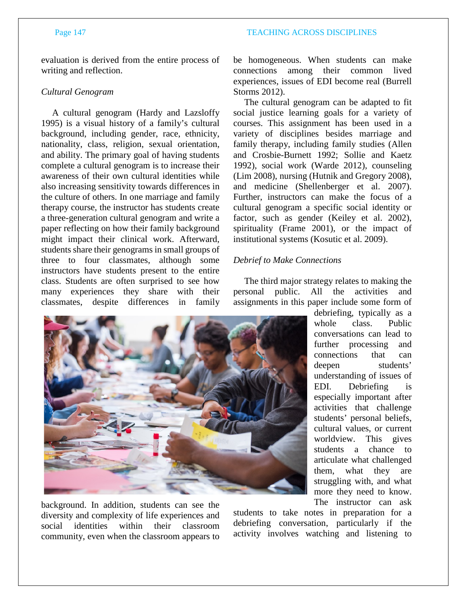evaluation is derived from the entire process of writing and reflection.

# *Cultural Genogram*

A cultural genogram (Hardy and Lazsloffy 1995) is a visual history of a family's cultural background, including gender, race, ethnicity, nationality, class, religion, sexual orientation, and ability. The primary goal of having students complete a cultural genogram is to increase their awareness of their own cultural identities while also increasing sensitivity towards differences in the culture of others. In one marriage and family therapy course, the instructor has students create a three-generation cultural genogram and write a paper reflecting on how their family background might impact their clinical work. Afterward, students share their genograms in small groups of three to four classmates, although some instructors have students present to the entire class. Students are often surprised to see how many experiences they share with their classmates, despite differences in family

be homogeneous. When students can make connections among their common lived experiences, issues of EDI become real (Burrell Storms 2012).

The cultural genogram can be adapted to fit social justice learning goals for a variety of courses. This assignment has been used in a variety of disciplines besides marriage and family therapy, including family studies (Allen and Crosbie-Burnett 1992; Sollie and Kaetz 1992), social work (Warde 2012), counseling (Lim 2008), nursing (Hutnik and Gregory 2008), and medicine (Shellenberger et al. 2007). Further, instructors can make the focus of a cultural genogram a specific social identity or factor, such as gender (Keiley et al. 2002), spirituality (Frame 2001), or the impact of institutional systems (Kosutic et al. 2009).

# *Debrief to Make Connections*

The third major strategy relates to making the personal public. All the activities and assignments in this paper include some form of

> whole class. Public conversations can lead to further processing and connections that can deepen students' understanding of issues of EDI. Debriefing is especially important after activities that challenge students' personal beliefs, cultural values, or current worldview. This gives students a chance to articulate what challenged them, what they are struggling with, and what

> The instructor can ask



background. In addition, students can see the diversity and complexity of life experiences and social identities within their classroom community, even when the classroom appears to

students to take notes in preparation for a debriefing conversation, particularly if the activity involves watching and listening to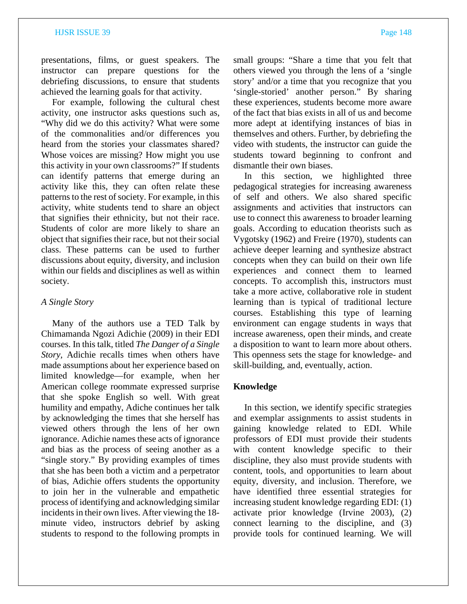presentations, films, or guest speakers. The instructor can prepare questions for the debriefing discussions, to ensure that students achieved the learning goals for that activity.

For example, following the cultural chest activity, one instructor asks questions such as, "Why did we do this activity? What were some of the commonalities and/or differences you heard from the stories your classmates shared? Whose voices are missing? How might you use this activity in your own classrooms?" If students can identify patterns that emerge during an activity like this, they can often relate these patterns to the rest of society. For example, in this activity, white students tend to share an object that signifies their ethnicity, but not their race. Students of color are more likely to share an object that signifies their race, but not their social class. These patterns can be used to further discussions about equity, diversity, and inclusion within our fields and disciplines as well as within society.

# *A Single Story*

Many of the authors use a TED Talk by Chimamanda Ngozi Adichie (2009) in their EDI courses. In this talk, titled *The Danger of a Single Story,* Adichie recalls times when others have made assumptions about her experience based on limited knowledge—for example, when her American college roommate expressed surprise that she spoke English so well. With great humility and empathy, Adiche continues her talk by acknowledging the times that she herself has viewed others through the lens of her own ignorance. Adichie names these acts of ignorance and bias as the process of seeing another as a "single story." By providing examples of times that she has been both a victim and a perpetrator of bias, Adichie offers students the opportunity to join her in the vulnerable and empathetic process of identifying and acknowledging similar incidents in their own lives. After viewing the 18 minute video, instructors debrief by asking students to respond to the following prompts in

small groups: "Share a time that you felt that others viewed you through the lens of a 'single story' and/or a time that you recognize that you 'single-storied' another person." By sharing these experiences, students become more aware of the fact that bias exists in all of us and become more adept at identifying instances of bias in themselves and others. Further, by debriefing the video with students, the instructor can guide the students toward beginning to confront and dismantle their own biases.

In this section, we highlighted three pedagogical strategies for increasing awareness of self and others. We also shared specific assignments and activities that instructors can use to connect this awareness to broader learning goals. According to education theorists such as Vygotsky (1962) and Freire (1970), students can achieve deeper learning and synthesize abstract concepts when they can build on their own life experiences and connect them to learned concepts. To accomplish this, instructors must take a more active, collaborative role in student learning than is typical of traditional lecture courses. Establishing this type of learning environment can engage students in ways that increase awareness, open their minds, and create a disposition to want to learn more about others. This openness sets the stage for knowledge- and skill-building, and, eventually, action.

### **Knowledge**

In this section, we identify specific strategies and exemplar assignments to assist students in gaining knowledge related to EDI. While professors of EDI must provide their students with content knowledge specific to their discipline, they also must provide students with content, tools, and opportunities to learn about equity, diversity, and inclusion. Therefore, we have identified three essential strategies for increasing student knowledge regarding EDI: (1) activate prior knowledge (Irvine 2003), (2) connect learning to the discipline, and (3) provide tools for continued learning. We will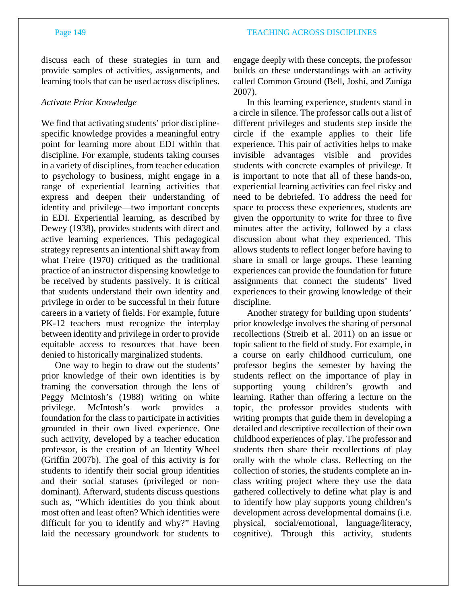discuss each of these strategies in turn and provide samples of activities, assignments, and learning tools that can be used across disciplines.

# *Activate Prior Knowledge*

We find that activating students' prior disciplinespecific knowledge provides a meaningful entry point for learning more about EDI within that discipline. For example, students taking courses in a variety of disciplines, from teacher education to psychology to business, might engage in a range of experiential learning activities that express and deepen their understanding of identity and privilege—two important concepts in EDI. Experiential learning, as described by Dewey (1938), provides students with direct and active learning experiences. This pedagogical strategy represents an intentional shift away from what Freire (1970) critiqued as the traditional practice of an instructor dispensing knowledge to be received by students passively. It is critical that students understand their own identity and privilege in order to be successful in their future careers in a variety of fields. For example, future PK-12 teachers must recognize the interplay between identity and privilege in order to provide equitable access to resources that have been denied to historically marginalized students.

One way to begin to draw out the students' prior knowledge of their own identities is by framing the conversation through the lens of Peggy McIntosh's (1988) writing on white privilege. McIntosh's work provides a foundation for the class to participate in activities grounded in their own lived experience. One such activity, developed by a teacher education professor, is the creation of an Identity Wheel (Griffin 2007b). The goal of this activity is for students to identify their social group identities and their social statuses (privileged or nondominant). Afterward, students discuss questions such as, "Which identities do you think about most often and least often? Which identities were difficult for you to identify and why?" Having laid the necessary groundwork for students to engage deeply with these concepts, the professor builds on these understandings with an activity called Common Ground (Bell, Joshi, and Zuníga 2007).

In this learning experience, students stand in a circle in silence. The professor calls out a list of different privileges and students step inside the circle if the example applies to their life experience. This pair of activities helps to make invisible advantages visible and provides students with concrete examples of privilege. It is important to note that all of these hands-on, experiential learning activities can feel risky and need to be debriefed. To address the need for space to process these experiences, students are given the opportunity to write for three to five minutes after the activity, followed by a class discussion about what they experienced. This allows students to reflect longer before having to share in small or large groups. These learning experiences can provide the foundation for future assignments that connect the students' lived experiences to their growing knowledge of their discipline.

Another strategy for building upon students' prior knowledge involves the sharing of personal recollections (Streib et al. 2011) on an issue or topic salient to the field of study. For example, in a course on early childhood curriculum, one professor begins the semester by having the students reflect on the importance of play in supporting young children's growth and learning. Rather than offering a lecture on the topic, the professor provides students with writing prompts that guide them in developing a detailed and descriptive recollection of their own childhood experiences of play. The professor and students then share their recollections of play orally with the whole class. Reflecting on the collection of stories, the students complete an inclass writing project where they use the data gathered collectively to define what play is and to identify how play supports young children's development across developmental domains (i.e. physical, social/emotional, language/literacy, cognitive). Through this activity, students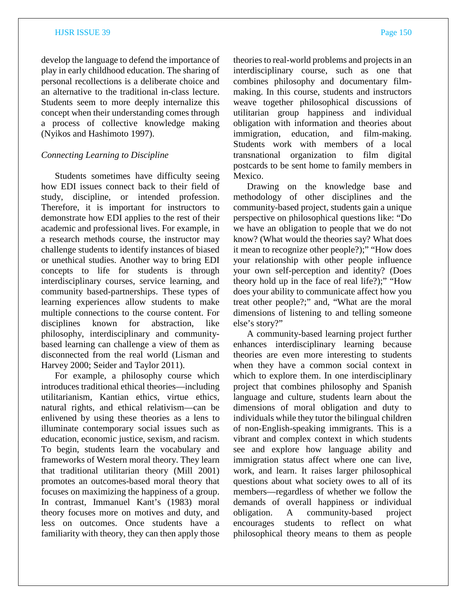develop the language to defend the importance of play in early childhood education. The sharing of personal recollections is a deliberate choice and an alternative to the traditional in-class lecture. Students seem to more deeply internalize this concept when their understanding comes through a process of collective knowledge making (Nyikos and Hashimoto 1997).

# *Connecting Learning to Discipline*

Students sometimes have difficulty seeing how EDI issues connect back to their field of study, discipline, or intended profession. Therefore, it is important for instructors to demonstrate how EDI applies to the rest of their academic and professional lives. For example, in a research methods course, the instructor may challenge students to identify instances of biased or unethical studies. Another way to bring EDI concepts to life for students is through interdisciplinary courses, service learning, and community based-partnerships. These types of learning experiences allow students to make multiple connections to the course content. For disciplines known for abstraction, like philosophy, interdisciplinary and communitybased learning can challenge a view of them as disconnected from the real world (Lisman and Harvey 2000; Seider and Taylor 2011).

For example, a philosophy course which introduces traditional ethical theories—including utilitarianism, Kantian ethics, virtue ethics, natural rights, and ethical relativism—can be enlivened by using these theories as a lens to illuminate contemporary social issues such as education, economic justice, sexism, and racism. To begin, students learn the vocabulary and frameworks of Western moral theory. They learn that traditional utilitarian theory (Mill 2001) promotes an outcomes-based moral theory that focuses on maximizing the happiness of a group. In contrast, Immanuel Kant's (1983) moral theory focuses more on motives and duty, and less on outcomes. Once students have a familiarity with theory, they can then apply those

theories to real-world problems and projects in an interdisciplinary course, such as one that combines philosophy and documentary filmmaking. In this course, students and instructors weave together philosophical discussions of utilitarian group happiness and individual obligation with information and theories about immigration, education, and film-making. Students work with members of a local transnational organization to film digital postcards to be sent home to family members in Mexico.

Drawing on the knowledge base and methodology of other disciplines and the community-based project, students gain a unique perspective on philosophical questions like: "Do we have an obligation to people that we do not know? (What would the theories say? What does it mean to recognize other people?);" "How does your relationship with other people influence your own self-perception and identity? (Does theory hold up in the face of real life?);" "How does your ability to communicate affect how you treat other people?;" and, "What are the moral dimensions of listening to and telling someone else's story?"

A community-based learning project further enhances interdisciplinary learning because theories are even more interesting to students when they have a common social context in which to explore them. In one interdisciplinary project that combines philosophy and Spanish language and culture, students learn about the dimensions of moral obligation and duty to individuals while they tutor the bilingual children of non-English-speaking immigrants. This is a vibrant and complex context in which students see and explore how language ability and immigration status affect where one can live, work, and learn. It raises larger philosophical questions about what society owes to all of its members—regardless of whether we follow the demands of overall happiness or individual obligation. A community-based project encourages students to reflect on what philosophical theory means to them as people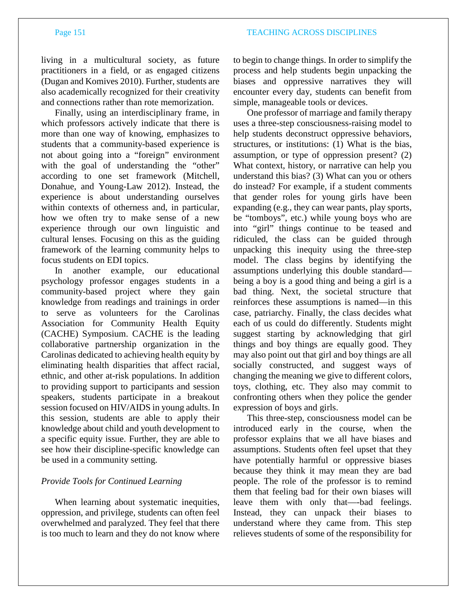living in a multicultural society, as future practitioners in a field, or as engaged citizens (Dugan and Komives 2010). Further, students are also academically recognized for their creativity and connections rather than rote memorization.

Finally, using an interdisciplinary frame, in which professors actively indicate that there is more than one way of knowing, emphasizes to students that a community-based experience is not about going into a "foreign" environment with the goal of understanding the "other" according to one set framework (Mitchell, Donahue, and Young-Law 2012). Instead, the experience is about understanding ourselves within contexts of otherness and, in particular, how we often try to make sense of a new experience through our own linguistic and cultural lenses. Focusing on this as the guiding framework of the learning community helps to focus students on EDI topics.

In another example, our educational psychology professor engages students in a community-based project where they gain knowledge from readings and trainings in order to serve as volunteers for the Carolinas Association for Community Health Equity (CACHE) Symposium. CACHE is the leading collaborative partnership organization in the Carolinas dedicated to achieving health equity by eliminating health disparities that affect racial, ethnic, and other at-risk populations. In addition to providing support to participants and session speakers, students participate in a breakout session focused on HIV/AIDS in young adults. In this session, students are able to apply their knowledge about child and youth development to a specific equity issue. Further, they are able to see how their discipline-specific knowledge can be used in a community setting.

### *Provide Tools for Continued Learning*

When learning about systematic inequities, oppression, and privilege, students can often feel overwhelmed and paralyzed. They feel that there is too much to learn and they do not know where to begin to change things. In order to simplify the process and help students begin unpacking the biases and oppressive narratives they will encounter every day, students can benefit from simple, manageable tools or devices.

One professor of marriage and family therapy uses a three-step consciousness-raising model to help students deconstruct oppressive behaviors, structures, or institutions: (1) What is the bias, assumption, or type of oppression present? (2) What context, history, or narrative can help you understand this bias? (3) What can you or others do instead? For example, if a student comments that gender roles for young girls have been expanding (e.g., they can wear pants, play sports, be "tomboys", etc.) while young boys who are into "girl" things continue to be teased and ridiculed, the class can be guided through unpacking this inequity using the three-step model. The class begins by identifying the assumptions underlying this double standard being a boy is a good thing and being a girl is a bad thing. Next, the societal structure that reinforces these assumptions is named—in this case, patriarchy. Finally, the class decides what each of us could do differently. Students might suggest starting by acknowledging that girl things and boy things are equally good. They may also point out that girl and boy things are all socially constructed, and suggest ways of changing the meaning we give to different colors, toys, clothing, etc. They also may commit to confronting others when they police the gender expression of boys and girls.

This three-step, consciousness model can be introduced early in the course, when the professor explains that we all have biases and assumptions. Students often feel upset that they have potentially harmful or oppressive biases because they think it may mean they are bad people. The role of the professor is to remind them that feeling bad for their own biases will leave them with only that—-bad feelings. Instead, they can unpack their biases to understand where they came from. This step relieves students of some of the responsibility for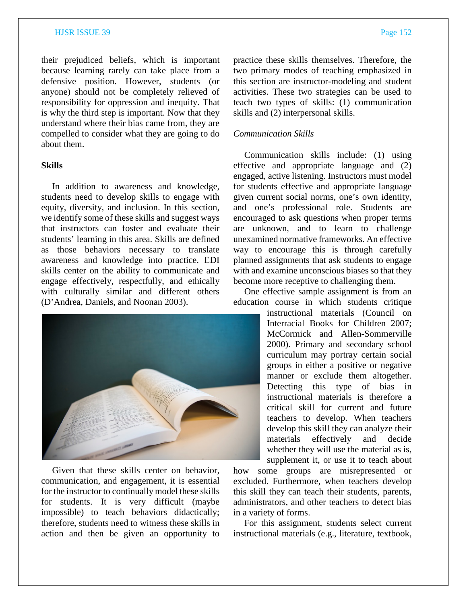their prejudiced beliefs, which is important because learning rarely can take place from a defensive position. However, students (or anyone) should not be completely relieved of responsibility for oppression and inequity. That is why the third step is important. Now that they understand where their bias came from, they are compelled to consider what they are going to do about them.

### **Skills**

In addition to awareness and knowledge, students need to develop skills to engage with equity, diversity, and inclusion. In this section, we identify some of these skills and suggest ways that instructors can foster and evaluate their students' learning in this area. Skills are defined as those behaviors necessary to translate awareness and knowledge into practice. EDI skills center on the ability to communicate and engage effectively, respectfully, and ethically with culturally similar and different others (D'Andrea, Daniels, and Noonan 2003).



Given that these skills center on behavior, communication, and engagement, it is essential for the instructor to continually model these skills for students. It is very difficult (maybe impossible) to teach behaviors didactically; therefore, students need to witness these skills in action and then be given an opportunity to practice these skills themselves. Therefore, the two primary modes of teaching emphasized in this section are instructor-modeling and student activities. These two strategies can be used to teach two types of skills: (1) communication skills and (2) interpersonal skills.

### *Communication Skills*

Communication skills include: (1) using effective and appropriate language and (2) engaged, active listening. Instructors must model for students effective and appropriate language given current social norms, one's own identity, and one's professional role. Students are encouraged to ask questions when proper terms are unknown, and to learn to challenge unexamined normative frameworks. An effective way to encourage this is through carefully planned assignments that ask students to engage with and examine unconscious biases so that they become more receptive to challenging them.

One effective sample assignment is from an education course in which students critique

> instructional materials (Council on Interracial Books for Children 2007; McCormick and Allen-Sommerville 2000). Primary and secondary school curriculum may portray certain social groups in either a positive or negative manner or exclude them altogether. Detecting this type of bias in instructional materials is therefore a critical skill for current and future teachers to develop. When teachers develop this skill they can analyze their materials effectively and decide whether they will use the material as is, supplement it, or use it to teach about

how some groups are misrepresented or excluded. Furthermore, when teachers develop this skill they can teach their students, parents, administrators, and other teachers to detect bias in a variety of forms.

For this assignment, students select current instructional materials (e.g., literature, textbook,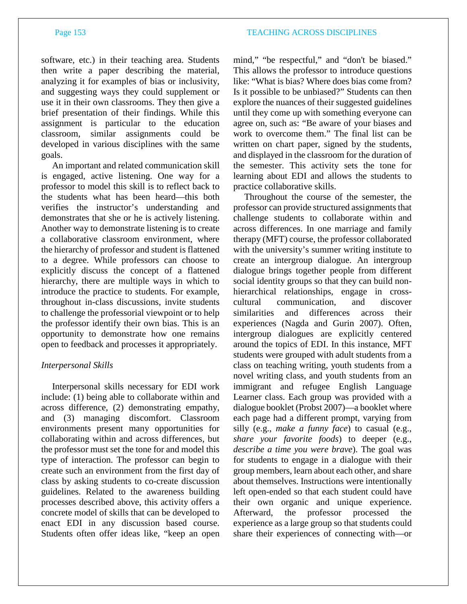software, etc.) in their teaching area. Students then write a paper describing the material, analyzing it for examples of bias or inclusivity, and suggesting ways they could supplement or use it in their own classrooms. They then give a brief presentation of their findings. While this assignment is particular to the education classroom, similar assignments could be developed in various disciplines with the same goals.

An important and related communication skill is engaged, active listening. One way for a professor to model this skill is to reflect back to the students what has been heard—this both verifies the instructor's understanding and demonstrates that she or he is actively listening. Another way to demonstrate listening is to create a collaborative classroom environment, where the hierarchy of professor and student is flattened to a degree. While professors can choose to explicitly discuss the concept of a flattened hierarchy, there are multiple ways in which to introduce the practice to students. For example, throughout in-class discussions, invite students to challenge the professorial viewpoint or to help the professor identify their own bias. This is an opportunity to demonstrate how one remains open to feedback and processes it appropriately.

# *Interpersonal Skills*

Interpersonal skills necessary for EDI work include: (1) being able to collaborate within and across difference, (2) demonstrating empathy, and (3) managing discomfort. Classroom environments present many opportunities for collaborating within and across differences, but the professor must set the tone for and model this type of interaction. The professor can begin to create such an environment from the first day of class by asking students to co-create discussion guidelines. Related to the awareness building processes described above, this activity offers a concrete model of skills that can be developed to enact EDI in any discussion based course. Students often offer ideas like, "keep an open mind," "be respectful," and "don't be biased." This allows the professor to introduce questions like: "What is bias? Where does bias come from? Is it possible to be unbiased?" Students can then explore the nuances of their suggested guidelines until they come up with something everyone can agree on, such as: "Be aware of your biases and work to overcome them." The final list can be written on chart paper, signed by the students, and displayed in the classroom for the duration of the semester. This activity sets the tone for learning about EDI and allows the students to practice collaborative skills.

Throughout the course of the semester, the professor can provide structured assignments that challenge students to collaborate within and across differences. In one marriage and family therapy (MFT) course, the professor collaborated with the university's summer writing institute to create an intergroup dialogue. An intergroup dialogue brings together people from different social identity groups so that they can build nonhierarchical relationships, engage in crosscultural communication, and discover similarities and differences across their experiences (Nagda and Gurin 2007). Often, intergroup dialogues are explicitly centered around the topics of EDI. In this instance, MFT students were grouped with adult students from a class on teaching writing, youth students from a novel writing class, and youth students from an immigrant and refugee English Language Learner class. Each group was provided with a dialogue booklet (Probst 2007)—a booklet where each page had a different prompt, varying from silly (e.g., *make a funny face*) to casual (e.g., *share your favorite foods*) to deeper (e.g., *describe a time you were brave*). The goal was for students to engage in a dialogue with their group members, learn about each other, and share about themselves. Instructions were intentionally left open-ended so that each student could have their own organic and unique experience. Afterward, the professor processed the experience as a large group so that students could share their experiences of connecting with—or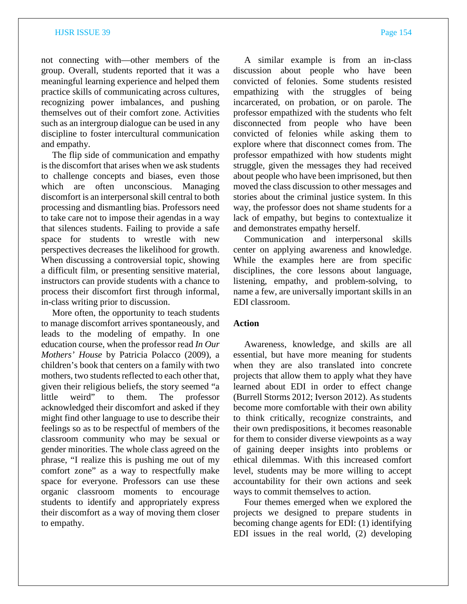not connecting with—other members of the group. Overall, students reported that it was a meaningful learning experience and helped them practice skills of communicating across cultures, recognizing power imbalances, and pushing themselves out of their comfort zone. Activities such as an intergroup dialogue can be used in any discipline to foster intercultural communication and empathy.

The flip side of communication and empathy is the discomfort that arises when we ask students to challenge concepts and biases, even those which are often unconscious. Managing discomfort is an interpersonal skill central to both processing and dismantling bias. Professors need to take care not to impose their agendas in a way that silences students. Failing to provide a safe space for students to wrestle with new perspectives decreases the likelihood for growth. When discussing a controversial topic, showing a difficult film, or presenting sensitive material, instructors can provide students with a chance to process their discomfort first through informal, in-class writing prior to discussion.

More often, the opportunity to teach students to manage discomfort arrives spontaneously, and leads to the modeling of empathy. In one education course, when the professor read *In Our Mothers' House* by Patricia Polacco (2009), a children's book that centers on a family with two mothers, two students reflected to each other that, given their religious beliefs, the story seemed "a little weird" to them. The professor acknowledged their discomfort and asked if they might find other language to use to describe their feelings so as to be respectful of members of the classroom community who may be sexual or gender minorities. The whole class agreed on the phrase, "I realize this is pushing me out of my comfort zone" as a way to respectfully make space for everyone. Professors can use these organic classroom moments to encourage students to identify and appropriately express their discomfort as a way of moving them closer to empathy.

A similar example is from an in-class discussion about people who have been convicted of felonies. Some students resisted empathizing with the struggles of being incarcerated, on probation, or on parole. The professor empathized with the students who felt disconnected from people who have been convicted of felonies while asking them to explore where that disconnect comes from. The professor empathized with how students might struggle, given the messages they had received about people who have been imprisoned, but then moved the class discussion to other messages and stories about the criminal justice system. In this way, the professor does not shame students for a lack of empathy, but begins to contextualize it and demonstrates empathy herself.

Communication and interpersonal skills center on applying awareness and knowledge. While the examples here are from specific disciplines, the core lessons about language, listening, empathy, and problem-solving, to name a few, are universally important skills in an EDI classroom.

# **Action**

Awareness, knowledge, and skills are all essential, but have more meaning for students when they are also translated into concrete projects that allow them to apply what they have learned about EDI in order to effect change (Burrell Storms 2012; Iverson 2012). As students become more comfortable with their own ability to think critically, recognize constraints, and their own predispositions, it becomes reasonable for them to consider diverse viewpoints as a way of gaining deeper insights into problems or ethical dilemmas. With this increased comfort level, students may be more willing to accept accountability for their own actions and seek ways to commit themselves to action.

Four themes emerged when we explored the projects we designed to prepare students in becoming change agents for EDI: (1) identifying EDI issues in the real world, (2) developing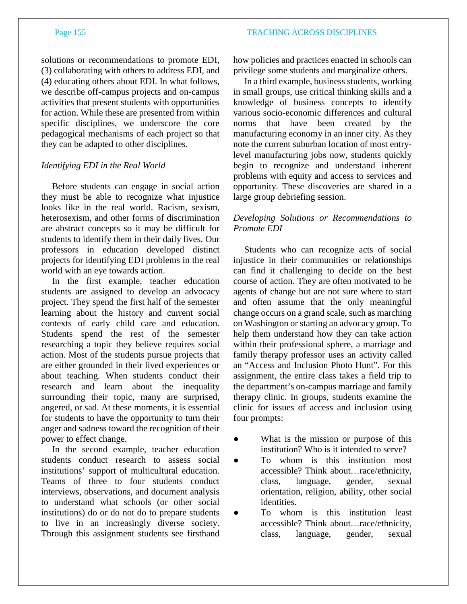solutions or recommendations to promote EDI, (3) collaborating with others to address EDI, and (4) educating others about EDI. In what follows, we describe off-campus projects and on-campus activities that present students with opportunities for action. While these are presented from within specific disciplines, we underscore the core pedagogical mechanisms of each project so that they can be adapted to other disciplines.

# *Identifying EDI in the Real World*

Before students can engage in social action they must be able to recognize what injustice looks like in the real world. Racism, sexism, heterosexism, and other forms of discrimination are abstract concepts so it may be difficult for students to identify them in their daily lives. Our professors in education developed distinct projects for identifying EDI problems in the real world with an eye towards action.

In the first example, teacher education students are assigned to develop an advocacy project. They spend the first half of the semester learning about the history and current social contexts of early child care and education*.*  Students spend the rest of the semester researching a topic they believe requires social action. Most of the students pursue projects that are either grounded in their lived experiences or about teaching. When students conduct their research and learn about the inequality surrounding their topic, many are surprised, angered, or sad. At these moments, it is essential for students to have the opportunity to turn their anger and sadness toward the recognition of their power to effect change.

In the second example, teacher education students conduct research to assess social institutions' support of multicultural education. Teams of three to four students conduct interviews, observations, and document analysis to understand what schools (or other social institutions) do or do not do to prepare students to live in an increasingly diverse society. Through this assignment students see firsthand

how policies and practices enacted in schools can privilege some students and marginalize others.

In a third example, business students, working in small groups, use critical thinking skills and a knowledge of business concepts to identify various socio-economic differences and cultural norms that have been created by the manufacturing economy in an inner city. As they note the current suburban location of most entrylevel manufacturing jobs now, students quickly begin to recognize and understand inherent problems with equity and access to services and opportunity. These discoveries are shared in a large group debriefing session.

# *Developing Solutions or Recommendations to Promote EDI*

Students who can recognize acts of social injustice in their communities or relationships can find it challenging to decide on the best course of action. They are often motivated to be agents of change but are not sure where to start and often assume that the only meaningful change occurs on a grand scale, such as marching on Washington or starting an advocacy group. To help them understand how they can take action within their professional sphere, a marriage and family therapy professor uses an activity called an "Access and Inclusion Photo Hunt". For this assignment, the entire class takes a field trip to the department's on-campus marriage and family therapy clinic. In groups, students examine the clinic for issues of access and inclusion using four prompts:

- What is the mission or purpose of this institution? Who is it intended to serve?
- To whom is this institution most accessible? Think about…race/ethnicity, class, language, gender, sexual orientation, religion, ability, other social identities.
- To whom is this institution least accessible? Think about…race/ethnicity, class, language, gender, sexual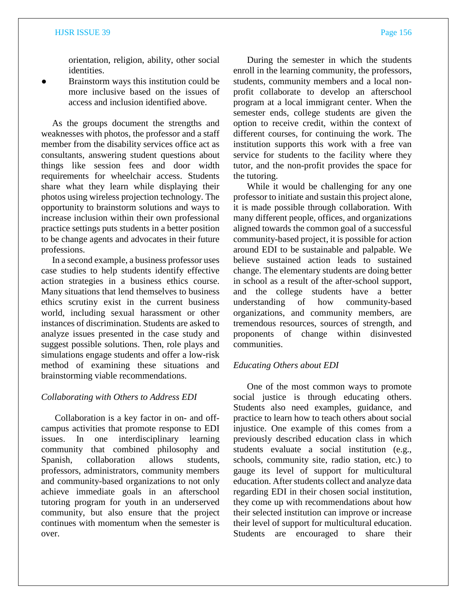orientation, religion, ability, other social identities.

Brainstorm ways this institution could be more inclusive based on the issues of access and inclusion identified above.

As the groups document the strengths and weaknesses with photos, the professor and a staff member from the disability services office act as consultants, answering student questions about things like session fees and door width requirements for wheelchair access. Students share what they learn while displaying their photos using wireless projection technology. The opportunity to brainstorm solutions and ways to increase inclusion within their own professional practice settings puts students in a better position to be change agents and advocates in their future professions.

In a second example, a business professor uses case studies to help students identify effective action strategies in a business ethics course. Many situations that lend themselves to business ethics scrutiny exist in the current business world, including sexual harassment or other instances of discrimination. Students are asked to analyze issues presented in the case study and suggest possible solutions. Then, role plays and simulations engage students and offer a low-risk method of examining these situations and brainstorming viable recommendations.

### *Collaborating with Others to Address EDI*

Collaboration is a key factor in on- and offcampus activities that promote response to EDI issues. In one interdisciplinary learning community that combined philosophy and Spanish, collaboration allows students, professors, administrators, community members and community-based organizations to not only achieve immediate goals in an afterschool tutoring program for youth in an underserved community, but also ensure that the project continues with momentum when the semester is over.

During the semester in which the students enroll in the learning community, the professors, students, community members and a local nonprofit collaborate to develop an afterschool program at a local immigrant center. When the semester ends, college students are given the option to receive credit, within the context of different courses, for continuing the work. The institution supports this work with a free van service for students to the facility where they tutor, and the non-profit provides the space for the tutoring.

While it would be challenging for any one professor to initiate and sustain this project alone, it is made possible through collaboration. With many different people, offices, and organizations aligned towards the common goal of a successful community-based project, it is possible for action around EDI to be sustainable and palpable. We believe sustained action leads to sustained change. The elementary students are doing better in school as a result of the after-school support, and the college students have a better understanding of how community-based organizations, and community members, are tremendous resources, sources of strength, and proponents of change within disinvested communities.

### *Educating Others about EDI*

One of the most common ways to promote social justice is through educating others. Students also need examples, guidance, and practice to learn how to teach others about social injustice. One example of this comes from a previously described education class in which students evaluate a social institution (e.g., schools, community site, radio station, etc.) to gauge its level of support for multicultural education. After students collect and analyze data regarding EDI in their chosen social institution, they come up with recommendations about how their selected institution can improve or increase their level of support for multicultural education. Students are encouraged to share their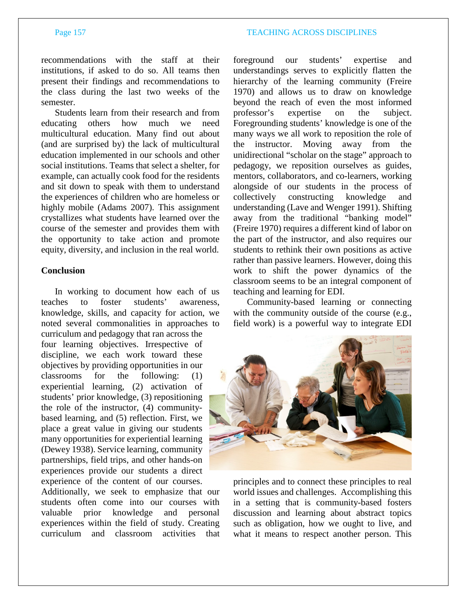recommendations with the staff at their institutions, if asked to do so. All teams then present their findings and recommendations to the class during the last two weeks of the semester.

Students learn from their research and from educating others how much we need multicultural education. Many find out about (and are surprised by) the lack of multicultural education implemented in our schools and other social institutions. Teams that select a shelter, for example, can actually cook food for the residents and sit down to speak with them to understand the experiences of children who are homeless or highly mobile (Adams 2007). This assignment crystallizes what students have learned over the course of the semester and provides them with the opportunity to take action and promote equity, diversity, and inclusion in the real world.

### **Conclusion**

In working to document how each of us teaches to foster students' awareness, knowledge, skills, and capacity for action, we noted several commonalities in approaches to curriculum and pedagogy that ran across the four learning objectives. Irrespective of discipline, we each work toward these objectives by providing opportunities in our classrooms for the following: (1) experiential learning, (2) activation of students' prior knowledge, (3) repositioning the role of the instructor, (4) communitybased learning, and (5) reflection. First, we place a great value in giving our students many opportunities for experiential learning (Dewey 1938). Service learning, community partnerships, field trips, and other hands-on experiences provide our students a direct experience of the content of our courses.

Additionally, we seek to emphasize that our students often come into our courses with valuable prior knowledge and personal experiences within the field of study. Creating curriculum and classroom activities that foreground our students' expertise and understandings serves to explicitly flatten the hierarchy of the learning community (Freire 1970) and allows us to draw on knowledge beyond the reach of even the most informed professor's expertise on the subject. Foregrounding students' knowledge is one of the many ways we all work to reposition the role of the instructor. Moving away from the unidirectional "scholar on the stage" approach to pedagogy, we reposition ourselves as guides, mentors, collaborators, and co-learners, working alongside of our students in the process of collectively constructing knowledge and understanding (Lave and Wenger 1991). Shifting away from the traditional "banking model" (Freire 1970) requires a different kind of labor on the part of the instructor, and also requires our students to rethink their own positions as active rather than passive learners. However, doing this work to shift the power dynamics of the classroom seems to be an integral component of teaching and learning for EDI.

Community-based learning or connecting with the community outside of the course (e.g., field work) is a powerful way to integrate EDI



principles and to connect these principles to real world issues and challenges. Accomplishing this in a setting that is community-based fosters discussion and learning about abstract topics such as obligation, how we ought to live, and what it means to respect another person. This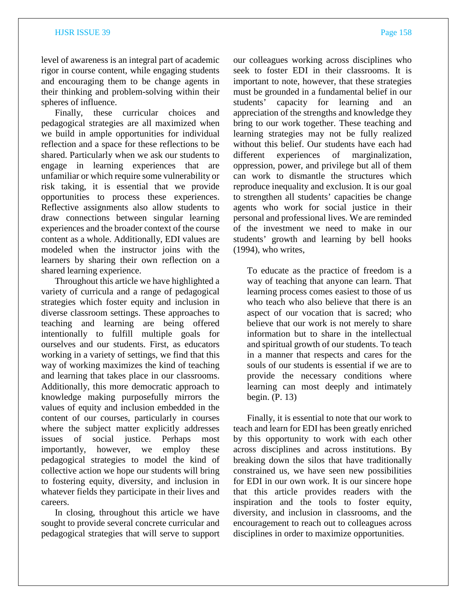level of awareness is an integral part of academic rigor in course content, while engaging students and encouraging them to be change agents in their thinking and problem-solving within their spheres of influence.

Finally, these curricular choices and pedagogical strategies are all maximized when we build in ample opportunities for individual reflection and a space for these reflections to be shared. Particularly when we ask our students to engage in learning experiences that are unfamiliar or which require some vulnerability or risk taking, it is essential that we provide opportunities to process these experiences. Reflective assignments also allow students to draw connections between singular learning experiences and the broader context of the course content as a whole. Additionally, EDI values are modeled when the instructor joins with the learners by sharing their own reflection on a shared learning experience.

Throughout this article we have highlighted a variety of curricula and a range of pedagogical strategies which foster equity and inclusion in diverse classroom settings. These approaches to teaching and learning are being offered intentionally to fulfill multiple goals for ourselves and our students. First, as educators working in a variety of settings, we find that this way of working maximizes the kind of teaching and learning that takes place in our classrooms. Additionally, this more democratic approach to knowledge making purposefully mirrors the values of equity and inclusion embedded in the content of our courses, particularly in courses where the subject matter explicitly addresses issues of social justice. Perhaps most importantly, however, we employ these pedagogical strategies to model the kind of collective action we hope our students will bring to fostering equity, diversity, and inclusion in whatever fields they participate in their lives and careers.

In closing, throughout this article we have sought to provide several concrete curricular and pedagogical strategies that will serve to support our colleagues working across disciplines who seek to foster EDI in their classrooms. It is important to note, however, that these strategies must be grounded in a fundamental belief in our students' capacity for learning and an appreciation of the strengths and knowledge they bring to our work together. These teaching and learning strategies may not be fully realized without this belief. Our students have each had different experiences of marginalization, oppression, power, and privilege but all of them can work to dismantle the structures which reproduce inequality and exclusion. It is our goal to strengthen all students' capacities be change agents who work for social justice in their personal and professional lives. We are reminded of the investment we need to make in our students' growth and learning by bell hooks (1994), who writes,

To educate as the practice of freedom is a way of teaching that anyone can learn. That learning process comes easiest to those of us who teach who also believe that there is an aspect of our vocation that is sacred; who believe that our work is not merely to share information but to share in the intellectual and spiritual growth of our students. To teach in a manner that respects and cares for the souls of our students is essential if we are to provide the necessary conditions where learning can most deeply and intimately begin. (P. 13)

Finally, it is essential to note that our work to teach and learn for EDI has been greatly enriched by this opportunity to work with each other across disciplines and across institutions. By breaking down the silos that have traditionally constrained us, we have seen new possibilities for EDI in our own work. It is our sincere hope that this article provides readers with the inspiration and the tools to foster equity, diversity, and inclusion in classrooms, and the encouragement to reach out to colleagues across disciplines in order to maximize opportunities.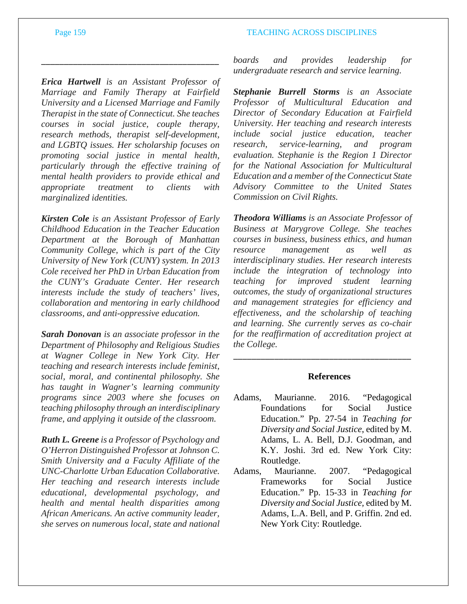*Erica Hartwell is an Assistant Professor of Marriage and Family Therapy at Fairfield University and a Licensed Marriage and Family Therapist in the state of Connecticut. She teaches courses in social justice, couple therapy, research methods, therapist self-development, and LGBTQ issues. Her scholarship focuses on promoting social justice in mental health, particularly through the effective training of mental health providers to provide ethical and appropriate treatment to clients with marginalized identities.*

\_\_\_\_\_\_\_\_\_\_\_\_\_\_\_\_\_\_\_\_\_\_\_\_\_\_\_\_\_\_\_\_\_\_\_\_\_\_\_

*Kirsten Cole is an Assistant Professor of Early Childhood Education in the Teacher Education Department at the Borough of Manhattan Community College, which is part of the City University of New York (CUNY) system. In 2013 Cole received her PhD in Urban Education from the CUNY's Graduate Center. Her research interests include the study of teachers' lives, collaboration and mentoring in early childhood classrooms, and anti-oppressive education.*

*Sarah Donovan is an associate professor in the Department of Philosophy and Religious Studies at Wagner College in New York City. Her teaching and research interests include feminist, social, moral, and continental philosophy. She has taught in Wagner's learning community programs since 2003 where she focuses on teaching philosophy through an interdisciplinary frame, and applying it outside of the classroom.*

*Ruth L. Greene is a Professor of Psychology and O'Herron Distinguished Professor at Johnson C. Smith University and a Faculty Affiliate of the UNC-Charlotte Urban Education Collaborative. Her teaching and research interests include educational, developmental psychology, and health and mental health disparities among African Americans. An active community leader, she serves on numerous local, state and national*  *boards and provides leadership for undergraduate research and service learning.*

*Stephanie Burrell Storms is an Associate Professor of Multicultural Education and Director of Secondary Education at Fairfield University. Her teaching and research interests include social justice education, teacher research, service-learning, and program evaluation. Stephanie is the Region 1 Director for the National Association for Multicultural Education and a member of the Connecticut State Advisory Committee to the United States Commission on Civil Rights.*

*Theodora Williams is an Associate Professor of Business at Marygrove College. She teaches courses in business, business ethics, and human resource management as well as interdisciplinary studies. Her research interests include the integration of technology into teaching for improved student learning outcomes, the study of organizational structures and management strategies for efficiency and effectiveness, and the scholarship of teaching and learning. She currently serves as co-chair for the reaffirmation of accreditation project at the College.*

# **References**

\_\_\_\_\_\_\_\_\_\_\_\_\_\_\_\_\_\_\_\_\_\_\_\_\_\_\_\_\_\_\_\_\_\_\_\_\_\_\_

- Adams, Maurianne. 2016. "Pedagogical Foundations for Social Justice Education." Pp. 27-54 in *Teaching for Diversity and Social Justice*, edited by M. Adams, L. A. Bell, D.J. Goodman, and K.Y. Joshi. 3rd ed. New York City: Routledge.
- Adams, Maurianne. 2007. "Pedagogical Frameworks for Social Justice Education." Pp. 15-33 in *Teaching for Diversity and Social Justice,* edited by M. Adams, L.A. Bell, and P. Griffin. 2nd ed. New York City: Routledge.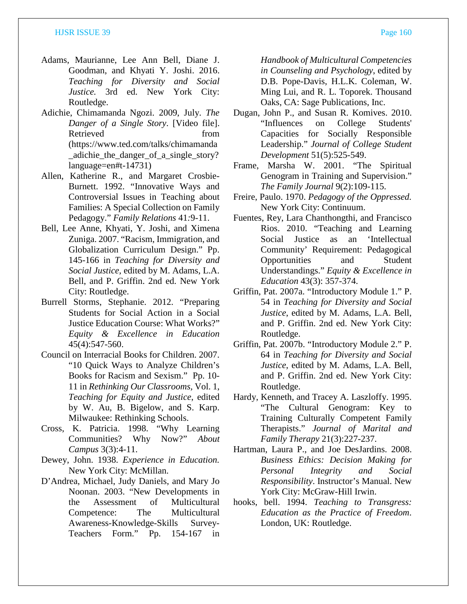- Adams, Maurianne, Lee Ann Bell, Diane J. Goodman, and Khyati Y. Joshi. 2016. *Teaching for Diversity and Social Justice.* 3rd ed. New York City: Routledge.
- Adichie, Chimamanda Ngozi. 2009, July. *The Danger of a Single Story*. [Video file]. Retrieved from (https://www.ted.com/talks/chimamanda \_adichie\_the\_danger\_of\_a\_single\_story? language=en#t-14731)
- Allen, Katherine R., and Margaret Crosbie-Burnett. 1992. "Innovative Ways and Controversial Issues in Teaching about Families: A Special Collection on Family Pedagogy." *Family Relations* 41*:*9-11.
- Bell, Lee Anne, Khyati, Y. Joshi, and Ximena Zuniga. 2007. "Racism, Immigration, and Globalization Curriculum Design." Pp. 145-166 in *Teaching for Diversity and Social Justice,* edited by M. Adams, L.A. Bell, and P. Griffin. 2nd ed. New York City: Routledge.
- Burrell Storms, Stephanie. 2012. "Preparing Students for Social Action in a Social Justice Education Course: What Works?" *Equity & Excellence in Education* 45(4):547-560.
- Council on Interracial Books for Children. 2007. "10 Quick Ways to Analyze Children's Books for Racism and Sexism." Pp. 10- 11 in *Rethinking Our Classrooms,* Vol. 1, *Teaching for Equity and Justice*, edited by W. Au, B. Bigelow, and S. Karp. Milwaukee: Rethinking Schools.
- Cross, K. Patricia. 1998. "Why Learning Communities? Why Now?" *About Campus* 3(3):4-11.
- Dewey, John. 1938. *Experience in Education.*  New York City: McMillan.
- D'Andrea, Michael, Judy Daniels, and Mary Jo Noonan. 2003. "New Developments in the Assessment of Multicultural Competence: The Multicultural Awareness-Knowledge-Skills Survey-Teachers Form." Pp. 154-167 in

*Handbook of Multicultural Competencies in Counseling and Psychology*, edited by D.B. Pope-Davis, H.L.K. Coleman, W. Ming Lui, and R. L. Toporek. Thousand Oaks, CA: Sage Publications, Inc.

- Dugan, John P., and Susan R. Komives. 2010. "Influences on College Students' Capacities for Socially Responsible Leadership." *Journal of College Student Development* 51(5):525-549.
- Frame, Marsha W. 2001. "The Spiritual Genogram in Training and Supervision." *The Family Journal* 9(2):109-115.
- Freire, Paulo. 1970. *Pedagogy of the Oppressed.*  New York City: Continuum.
- Fuentes, Rey, Lara Chanthongthi, and Francisco Rios. 2010. "Teaching and Learning Social Justice as an 'Intellectual Community' Requirement: Pedagogical Opportunities and Student Understandings." *Equity & Excellence in Education* 43(3): 357-374.
- Griffin, Pat. 2007a. "Introductory Module 1." P. 54 in *Teaching for Diversity and Social Justice*, edited by M. Adams, L.A. Bell, and P. Griffin. 2nd ed. New York City: Routledge.
- Griffin, Pat. 2007b. "Introductory Module 2." P. 64 in *Teaching for Diversity and Social Justice*, edited by M. Adams, L.A. Bell, and P. Griffin. 2nd ed. New York City: Routledge.
- Hardy, Kenneth, and Tracey A. Laszloffy. 1995. "The Cultural Genogram: Key to Training Culturally Competent Family Therapists." *Journal of Marital and Family Therapy* 21(3):227-237.
- Hartman, Laura P., and Joe DesJardins. 2008. *Business Ethics: Decision Making for Personal Integrity and Social Responsibility*. Instructor's Manual. New York City: McGraw-Hill Irwin.
- hooks, bell. 1994. *Teaching to Transgress: Education as the Practice of Freedom*. London, UK: Routledge.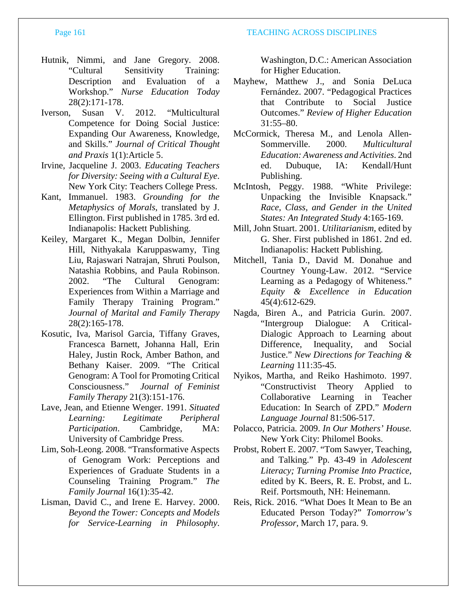- 
- Hutnik, Nimmi, and Jane Gregory. 2008. "Cultural Sensitivity Training: Description and Evaluation of a Workshop." *Nurse Education Today*  28(2):171-178.
- Iverson, Susan V. 2012. "Multicultural Competence for Doing Social Justice: Expanding Our Awareness, Knowledge, and Skills." *Journal of Critical Thought and Praxis* 1(1):Article 5.
- Irvine, Jacqueline J. 2003. *Educating Teachers for Diversity: Seeing with a Cultural Eye*. New York City: Teachers College Press.
- Kant, Immanuel. 1983. *Grounding for the Metaphysics of Morals*, translated by J. Ellington. First published in 1785. 3rd ed. Indianapolis: Hackett Publishing.
- Keiley, Margaret K., Megan Dolbin, Jennifer Hill, Nithyakala Karuppaswamy, Ting Liu, Rajaswari Natrajan, Shruti Poulson, Natashia Robbins, and Paula Robinson. 2002. "The Cultural Genogram: Experiences from Within a Marriage and Family Therapy Training Program." *Journal of Marital and Family Therapy* 28(2):165-178.
- Kosutic, Iva, Marisol Garcia, Tiffany Graves, Francesca Barnett, Johanna Hall, Erin Haley, Justin Rock, Amber Bathon, and Bethany Kaiser. 2009. "The Critical Genogram: A Tool for Promoting Critical Consciousness." *Journal of Feminist Family Therapy* 21(3):151-176.
- Lave, Jean, and Etienne Wenger. 1991. *Situated Learning: Legitimate Peripheral Participation*. Cambridge, MA: University of Cambridge Press.
- Lim, Soh-Leong. 2008. "Transformative Aspects of Genogram Work: Perceptions and Experiences of Graduate Students in a Counseling Training Program." *The Family Journal* 16(1):35-42.
- Lisman, David C., and Irene E. Harvey. 2000. *Beyond the Tower: Concepts and Models for Service-Learning in Philosophy*.

Washington, D.C.: American Association for Higher Education.

- Mayhew, Matthew J., and Sonia DeLuca Fernández. 2007. "Pedagogical Practices that Contribute to Social Justice Outcomes." *Review of Higher Education*  31:55–80.
- McCormick, Theresa M., and Lenola Allen-Sommerville. 2000. *Multicultural Education: Awareness and Activities*. 2nd ed. Dubuque, IA: Kendall/Hunt Publishing.
- McIntosh, Peggy. 1988. "White Privilege: Unpacking the Invisible Knapsack." *Race, Class, and Gender in the United States: An Integrated Study* 4:165-169.
- Mill, John Stuart. 2001. *Utilitarianism,* edited by G. Sher. First published in 1861. 2nd ed. Indianapolis: Hackett Publishing.
- Mitchell, Tania D., David M. Donahue and Courtney Young-Law. 2012. "Service Learning as a Pedagogy of Whiteness." *Equity & Excellence in Education* 45(4):612-629.
- Nagda, Biren A., and Patricia Gurin. 2007. "Intergroup Dialogue: A Critical-Dialogic Approach to Learning about Difference, Inequality, and Social Justice." *New Directions for Teaching & Learning* 111:35-45.
- Nyikos, Martha, and Reiko Hashimoto. 1997. "Constructivist Theory Applied to Collaborative Learning in Teacher Education: In Search of ZPD." *Modern Language Journal* 81:506-517.
- Polacco, Patricia. 2009. *In Our Mothers' House.*  New York City: Philomel Books.
- Probst, Robert E. 2007. "Tom Sawyer, Teaching, and Talking." Pp. 43-49 in *Adolescent Literacy; Turning Promise Into Practice,*  edited by K. Beers, R. E. Probst, and L. Reif. Portsmouth, NH: Heinemann.
- Reis, Rick. 2016. "What Does It Mean to Be an Educated Person Today?" *Tomorrow's Professor,* March 17, para. 9.